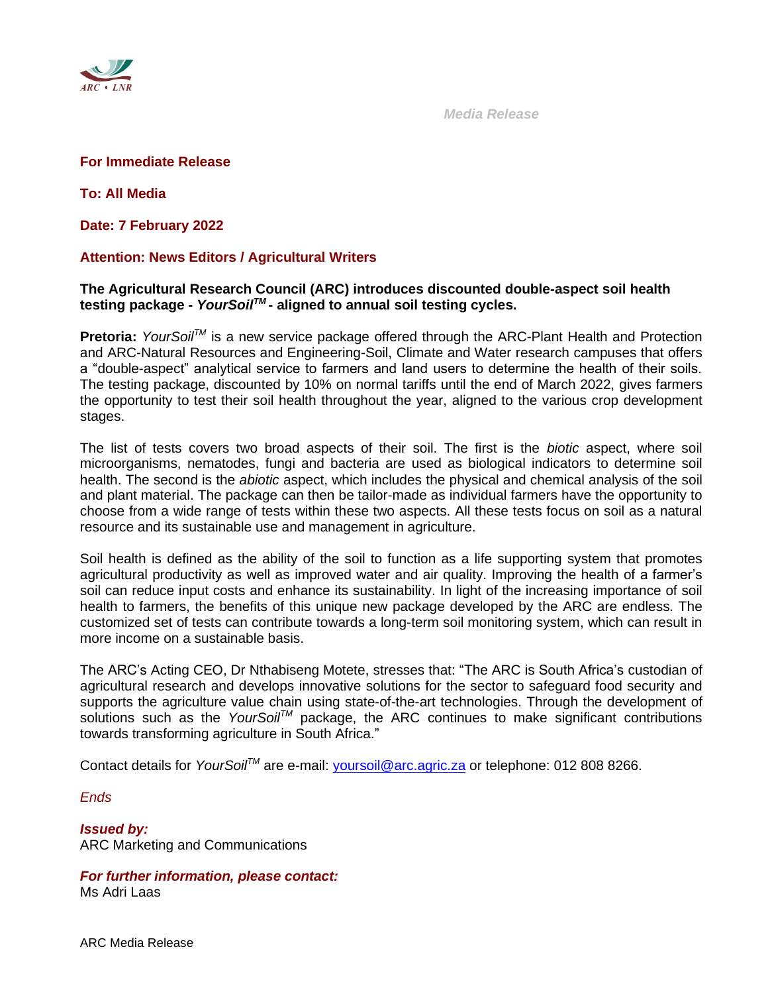

 *Media Release*

### **For Immediate Release**

**To: All Media**

**Date: 7 February 2022**

# **Attention: News Editors / Agricultural Writers**

## **The Agricultural Research Council (ARC) introduces discounted double-aspect soil health testing package -** *YourSoilTM* **- aligned to annual soil testing cycles.**

**Pretoria:** *YourSoilTM* is a new service package offered through the ARC-Plant Health and Protection and ARC-Natural Resources and Engineering-Soil, Climate and Water research campuses that offers a "double-aspect" analytical service to farmers and land users to determine the health of their soils. The testing package, discounted by 10% on normal tariffs until the end of March 2022, gives farmers the opportunity to test their soil health throughout the year, aligned to the various crop development stages.

The list of tests covers two broad aspects of their soil. The first is the *biotic* aspect, where soil microorganisms, nematodes, fungi and bacteria are used as biological indicators to determine soil health. The second is the *abiotic* aspect, which includes the physical and chemical analysis of the soil and plant material. The package can then be tailor-made as individual farmers have the opportunity to choose from a wide range of tests within these two aspects. All these tests focus on soil as a natural resource and its sustainable use and management in agriculture.

Soil health is defined as the ability of the soil to function as a life supporting system that promotes agricultural productivity as well as improved water and air quality. Improving the health of a farmer's soil can reduce input costs and enhance its sustainability. In light of the increasing importance of soil health to farmers, the benefits of this unique new package developed by the ARC are endless. The customized set of tests can contribute towards a long-term soil monitoring system, which can result in more income on a sustainable basis.

The ARC's Acting CEO, Dr Nthabiseng Motete, stresses that: "The ARC is South Africa's custodian of agricultural research and develops innovative solutions for the sector to safeguard food security and supports the agriculture value chain using state-of-the-art technologies. Through the development of solutions such as the *YourSoilTM* package, the ARC continues to make significant contributions towards transforming agriculture in South Africa."

Contact details for *YourSoilTM* are e-mail: [yoursoil@arc.agric.za](mailto:yoursoil@arc.agric.za) or telephone: 012 808 8266.

*Ends*

*Issued by:* ARC Marketing and Communications

*For further information, please contact:* Ms Adri Laas